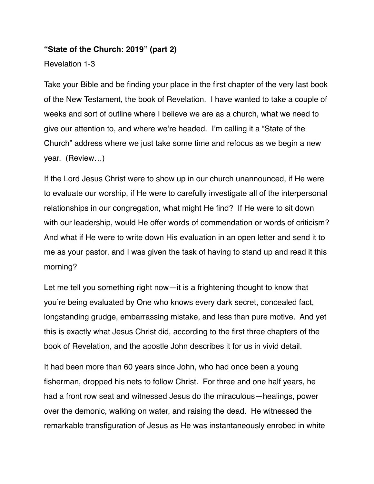### **"State of the Church: 2019" (part 2)**

Revelation 1-3

Take your Bible and be finding your place in the first chapter of the very last book of the New Testament, the book of Revelation. I have wanted to take a couple of weeks and sort of outline where I believe we are as a church, what we need to give our attention to, and where we're headed. I'm calling it a "State of the Church" address where we just take some time and refocus as we begin a new year. (Review…)

If the Lord Jesus Christ were to show up in our church unannounced, if He were to evaluate our worship, if He were to carefully investigate all of the interpersonal relationships in our congregation, what might He find? If He were to sit down with our leadership, would He offer words of commendation or words of criticism? And what if He were to write down His evaluation in an open letter and send it to me as your pastor, and I was given the task of having to stand up and read it this morning?

Let me tell you something right now—it is a frightening thought to know that you're being evaluated by One who knows every dark secret, concealed fact, longstanding grudge, embarrassing mistake, and less than pure motive. And yet this is exactly what Jesus Christ did, according to the first three chapters of the book of Revelation, and the apostle John describes it for us in vivid detail.

It had been more than 60 years since John, who had once been a young fisherman, dropped his nets to follow Christ. For three and one half years, he had a front row seat and witnessed Jesus do the miraculous—healings, power over the demonic, walking on water, and raising the dead. He witnessed the remarkable transfiguration of Jesus as He was instantaneously enrobed in white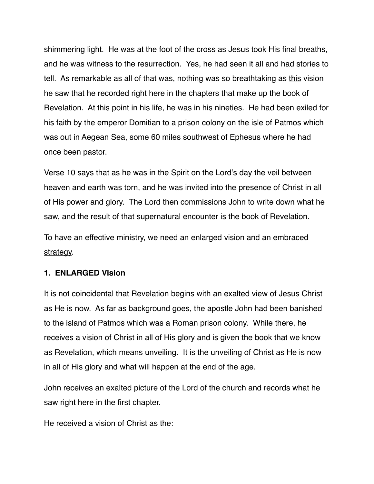shimmering light. He was at the foot of the cross as Jesus took His final breaths, and he was witness to the resurrection. Yes, he had seen it all and had stories to tell. As remarkable as all of that was, nothing was so breathtaking as this vision he saw that he recorded right here in the chapters that make up the book of Revelation. At this point in his life, he was in his nineties. He had been exiled for his faith by the emperor Domitian to a prison colony on the isle of Patmos which was out in Aegean Sea, some 60 miles southwest of Ephesus where he had once been pastor.

Verse 10 says that as he was in the Spirit on the Lord's day the veil between heaven and earth was torn, and he was invited into the presence of Christ in all of His power and glory. The Lord then commissions John to write down what he saw, and the result of that supernatural encounter is the book of Revelation.

To have an effective ministry, we need an enlarged vision and an embraced strategy.

### **1. ENLARGED Vision**

It is not coincidental that Revelation begins with an exalted view of Jesus Christ as He is now. As far as background goes, the apostle John had been banished to the island of Patmos which was a Roman prison colony. While there, he receives a vision of Christ in all of His glory and is given the book that we know as Revelation, which means unveiling. It is the unveiling of Christ as He is now in all of His glory and what will happen at the end of the age.

John receives an exalted picture of the Lord of the church and records what he saw right here in the first chapter.

He received a vision of Christ as the: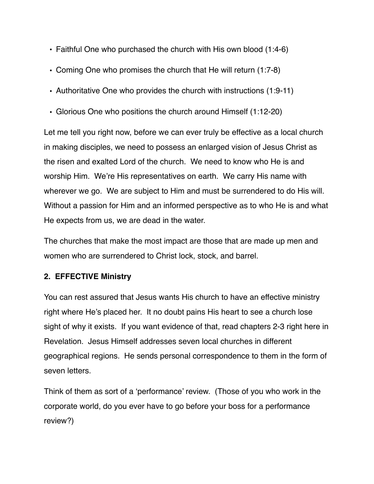- Faithful One who purchased the church with His own blood (1:4-6)
- Coming One who promises the church that He will return (1:7-8)
- Authoritative One who provides the church with instructions (1:9-11)
- Glorious One who positions the church around Himself (1:12-20)

Let me tell you right now, before we can ever truly be effective as a local church in making disciples, we need to possess an enlarged vision of Jesus Christ as the risen and exalted Lord of the church. We need to know who He is and worship Him. We're His representatives on earth. We carry His name with wherever we go. We are subject to Him and must be surrendered to do His will. Without a passion for Him and an informed perspective as to who He is and what He expects from us, we are dead in the water.

The churches that make the most impact are those that are made up men and women who are surrendered to Christ lock, stock, and barrel.

### **2. EFFECTIVE Ministry**

You can rest assured that Jesus wants His church to have an effective ministry right where He's placed her. It no doubt pains His heart to see a church lose sight of why it exists. If you want evidence of that, read chapters 2-3 right here in Revelation. Jesus Himself addresses seven local churches in different geographical regions. He sends personal correspondence to them in the form of seven letters.

Think of them as sort of a 'performance' review. (Those of you who work in the corporate world, do you ever have to go before your boss for a performance review?)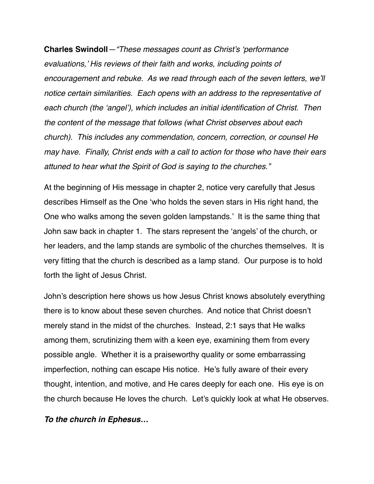**Charles Swindoll***—"These messages count as Christ's 'performance evaluations,' His reviews of their faith and works, including points of encouragement and rebuke. As we read through each of the seven letters, we'll notice certain similarities. Each opens with an address to the representative of each church (the 'angel'), which includes an initial identification of Christ. Then the content of the message that follows (what Christ observes about each church). This includes any commendation, concern, correction, or counsel He may have. Finally, Christ ends with a call to action for those who have their ears attuned to hear what the Spirit of God is saying to the churches."*

At the beginning of His message in chapter 2, notice very carefully that Jesus describes Himself as the One 'who holds the seven stars in His right hand, the One who walks among the seven golden lampstands.' It is the same thing that John saw back in chapter 1. The stars represent the 'angels' of the church, or her leaders, and the lamp stands are symbolic of the churches themselves. It is very fitting that the church is described as a lamp stand. Our purpose is to hold forth the light of Jesus Christ.

John's description here shows us how Jesus Christ knows absolutely everything there is to know about these seven churches. And notice that Christ doesn't merely stand in the midst of the churches. Instead, 2:1 says that He walks among them, scrutinizing them with a keen eye, examining them from every possible angle. Whether it is a praiseworthy quality or some embarrassing imperfection, nothing can escape His notice. He's fully aware of their every thought, intention, and motive, and He cares deeply for each one. His eye is on the church because He loves the church. Let's quickly look at what He observes.

*To the church in Ephesus…*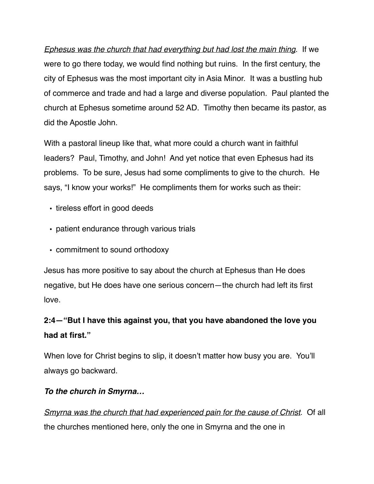*Ephesus was the church that had everything but had lost the main thing*. If we were to go there today, we would find nothing but ruins. In the first century, the city of Ephesus was the most important city in Asia Minor. It was a bustling hub of commerce and trade and had a large and diverse population. Paul planted the church at Ephesus sometime around 52 AD. Timothy then became its pastor, as did the Apostle John.

With a pastoral lineup like that, what more could a church want in faithful leaders? Paul, Timothy, and John! And yet notice that even Ephesus had its problems. To be sure, Jesus had some compliments to give to the church. He says, "I know your works!" He compliments them for works such as their:

- tireless effort in good deeds
- patient endurance through various trials
- commitment to sound orthodoxy

Jesus has more positive to say about the church at Ephesus than He does negative, but He does have one serious concern—the church had left its first love.

# **2:4—"But I have this against you, that you have abandoned the love you had at first."**

When love for Christ begins to slip, it doesn't matter how busy you are. You'll always go backward.

# *To the church in Smyrna…*

*Smyrna was the church that had experienced pain for the cause of Christ*. Of all the churches mentioned here, only the one in Smyrna and the one in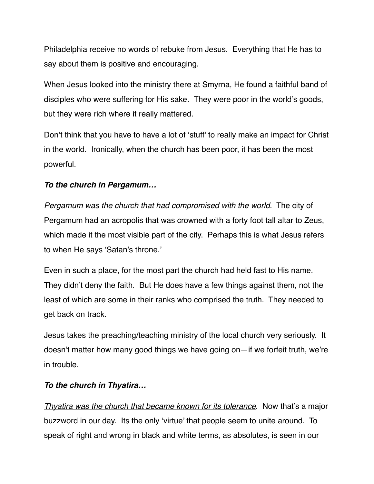Philadelphia receive no words of rebuke from Jesus. Everything that He has to say about them is positive and encouraging.

When Jesus looked into the ministry there at Smyrna, He found a faithful band of disciples who were suffering for His sake. They were poor in the world's goods, but they were rich where it really mattered.

Don't think that you have to have a lot of 'stuff' to really make an impact for Christ in the world. Ironically, when the church has been poor, it has been the most powerful.

## *To the church in Pergamum…*

*Pergamum was the church that had compromised with the world*. The city of Pergamum had an acropolis that was crowned with a forty foot tall altar to Zeus, which made it the most visible part of the city. Perhaps this is what Jesus refers to when He says 'Satan's throne.'

Even in such a place, for the most part the church had held fast to His name. They didn't deny the faith. But He does have a few things against them, not the least of which are some in their ranks who comprised the truth. They needed to get back on track.

Jesus takes the preaching/teaching ministry of the local church very seriously. It doesn't matter how many good things we have going on—if we forfeit truth, we're in trouble.

# *To the church in Thyatira…*

*Thyatira was the church that became known for its tolerance*. Now that's a major buzzword in our day. Its the only 'virtue' that people seem to unite around. To speak of right and wrong in black and white terms, as absolutes, is seen in our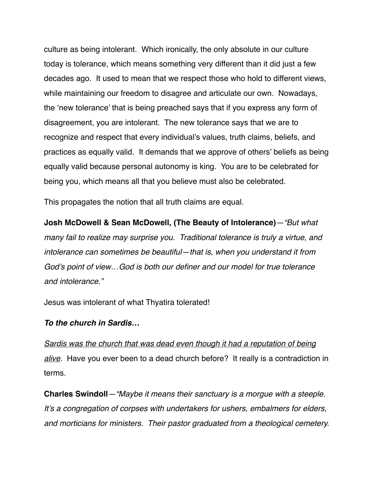culture as being intolerant. Which ironically, the only absolute in our culture today is tolerance, which means something very different than it did just a few decades ago. It used to mean that we respect those who hold to different views, while maintaining our freedom to disagree and articulate our own. Nowadays, the 'new tolerance' that is being preached says that if you express any form of disagreement, you are intolerant. The new tolerance says that we are to recognize and respect that every individual's values, truth claims, beliefs, and practices as equally valid. It demands that we approve of others' beliefs as being equally valid because personal autonomy is king. You are to be celebrated for being you, which means all that you believe must also be celebrated.

This propagates the notion that all truth claims are equal.

**Josh McDowell & Sean McDowell, (The Beauty of Intolerance)***—"But what many fail to realize may surprise you. Traditional tolerance is truly a virtue, and intolerance can sometimes be beautiful—that is, when you understand it from God's point of view…God is both our definer and our model for true tolerance and intolerance."*

Jesus was intolerant of what Thyatira tolerated!

### *To the church in Sardis…*

*Sardis was the church that was dead even though it had a reputation of being alive*. Have you ever been to a dead church before? It really is a contradiction in terms.

**Charles Swindoll***—"Maybe it means their sanctuary is a morgue with a steeple. It's a congregation of corpses with undertakers for ushers, embalmers for elders, and morticians for ministers. Their pastor graduated from a theological cemetery.*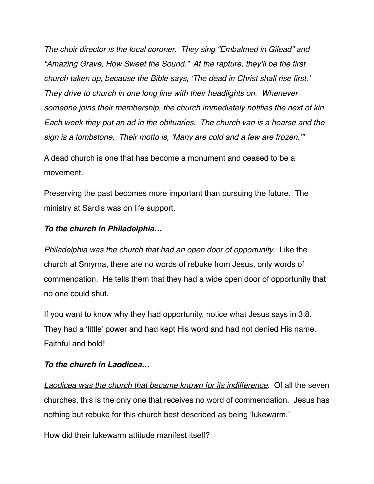*The choir director is the local coroner. They sing "Embalmed in Gilead" and "Amazing Grave, How Sweet the Sound." At the rapture, they'll be the first church taken up, because the Bible says, 'The dead in Christ shall rise first.' They drive to church in one long line with their headlights on. Whenever someone joins their membership, the church immediately notifies the next of kin. Each week they put an ad in the obituaries. The church van is a hearse and the sign is a tombstone. Their motto is, 'Many are cold and a few are frozen.'"*

A dead church is one that has become a monument and ceased to be a movement.

Preserving the past becomes more important than pursuing the future. The ministry at Sardis was on life support.

### *To the church in Philadelphia…*

*Philadelphia was the church that had an open door of opportunity*. Like the church at Smyrna, there are no words of rebuke from Jesus, only words of commendation. He tells them that they had a wide open door of opportunity that no one could shut.

If you want to know why they had opportunity, notice what Jesus says in 3:8. They had a 'little' power and had kept His word and had not denied His name. Faithful and bold!

### *To the church in Laodicea…*

*Laodicea was the church that became known for its indifference*. Of all the seven churches, this is the only one that receives no word of commendation. Jesus has nothing but rebuke for this church best described as being 'lukewarm.'

How did their lukewarm attitude manifest itself?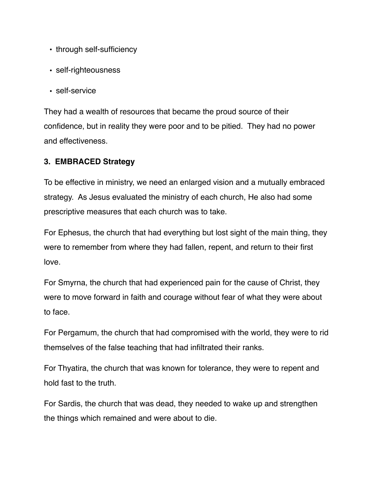- through self-sufficiency
- self-righteousness
- self-service

They had a wealth of resources that became the proud source of their confidence, but in reality they were poor and to be pitied. They had no power and effectiveness.

### **3. EMBRACED Strategy**

To be effective in ministry, we need an enlarged vision and a mutually embraced strategy. As Jesus evaluated the ministry of each church, He also had some prescriptive measures that each church was to take.

For Ephesus, the church that had everything but lost sight of the main thing, they were to remember from where they had fallen, repent, and return to their first love.

For Smyrna, the church that had experienced pain for the cause of Christ, they were to move forward in faith and courage without fear of what they were about to face.

For Pergamum, the church that had compromised with the world, they were to rid themselves of the false teaching that had infiltrated their ranks.

For Thyatira, the church that was known for tolerance, they were to repent and hold fast to the truth.

For Sardis, the church that was dead, they needed to wake up and strengthen the things which remained and were about to die.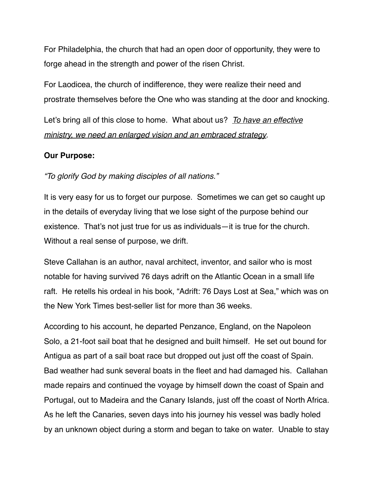For Philadelphia, the church that had an open door of opportunity, they were to forge ahead in the strength and power of the risen Christ.

For Laodicea, the church of indifference, they were realize their need and prostrate themselves before the One who was standing at the door and knocking.

Let's bring all of this close to home. What about us? *To have an effective ministry, we need an enlarged vision and an embraced strategy*.

### **Our Purpose:**

*"To glorify God by making disciples of all nations."*

It is very easy for us to forget our purpose. Sometimes we can get so caught up in the details of everyday living that we lose sight of the purpose behind our existence. That's not just true for us as individuals—it is true for the church. Without a real sense of purpose, we drift.

Steve Callahan is an author, naval architect, inventor, and sailor who is most notable for having survived 76 days adrift on the Atlantic Ocean in a small life raft. He retells his ordeal in his book, "Adrift: 76 Days Lost at Sea," which was on the New York Times best-seller list for more than 36 weeks.

According to his account, he departed Penzance, England, on the Napoleon Solo, a 21-foot sail boat that he designed and built himself. He set out bound for Antigua as part of a sail boat race but dropped out just off the coast of Spain. Bad weather had sunk several boats in the fleet and had damaged his. Callahan made repairs and continued the voyage by himself down the coast of Spain and Portugal, out to Madeira and the Canary Islands, just off the coast of North Africa. As he left the Canaries, seven days into his journey his vessel was badly holed by an unknown object during a storm and began to take on water. Unable to stay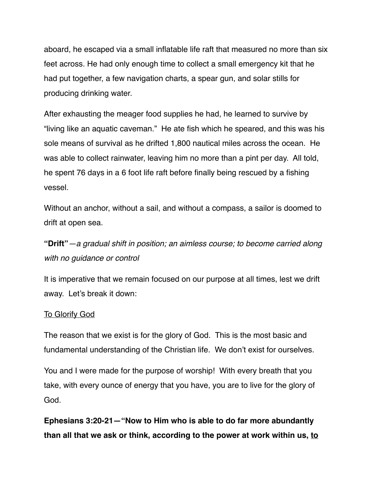aboard, he escaped via a small inflatable life raft that measured no more than six feet across. He had only enough time to collect a small emergency kit that he had put together, a few navigation charts, a spear gun, and solar stills for producing drinking water.

After exhausting the meager food supplies he had, he learned to survive by "living like an aquatic caveman." He ate fish which he speared, and this was his sole means of survival as he drifted 1,800 nautical miles across the ocean. He was able to collect rainwater, leaving him no more than a pint per day. All told, he spent 76 days in a 6 foot life raft before finally being rescued by a fishing vessel.

Without an anchor, without a sail, and without a compass, a sailor is doomed to drift at open sea.

**"Drift"***—a gradual shift in position; an aimless course; to become carried along with no guidance or control*

It is imperative that we remain focused on our purpose at all times, lest we drift away. Let's break it down:

#### To Glorify God

The reason that we exist is for the glory of God. This is the most basic and fundamental understanding of the Christian life. We don't exist for ourselves.

You and I were made for the purpose of worship! With every breath that you take, with every ounce of energy that you have, you are to live for the glory of God.

**Ephesians 3:20-21—"Now to Him who is able to do far more abundantly than all that we ask or think, according to the power at work within us, to**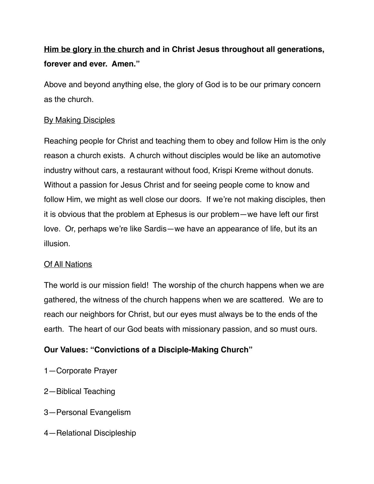# **Him be glory in the church and in Christ Jesus throughout all generations, forever and ever. Amen."**

Above and beyond anything else, the glory of God is to be our primary concern as the church.

### By Making Disciples

Reaching people for Christ and teaching them to obey and follow Him is the only reason a church exists. A church without disciples would be like an automotive industry without cars, a restaurant without food, Krispi Kreme without donuts. Without a passion for Jesus Christ and for seeing people come to know and follow Him, we might as well close our doors. If we're not making disciples, then it is obvious that the problem at Ephesus is our problem—we have left our first love. Or, perhaps we're like Sardis—we have an appearance of life, but its an illusion.

### Of All Nations

The world is our mission field! The worship of the church happens when we are gathered, the witness of the church happens when we are scattered. We are to reach our neighbors for Christ, but our eyes must always be to the ends of the earth. The heart of our God beats with missionary passion, and so must ours.

## **Our Values: "Convictions of a Disciple-Making Church"**

- 1—Corporate Prayer
- 2—Biblical Teaching
- 3—Personal Evangelism
- 4—Relational Discipleship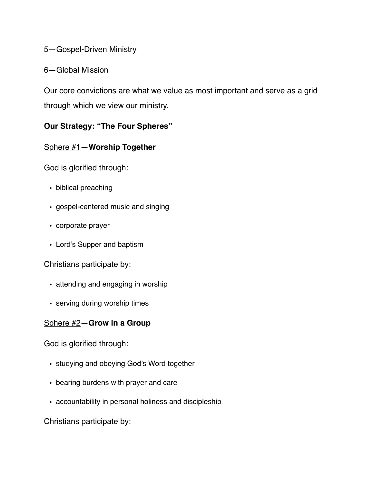### 5—Gospel-Driven Ministry

### 6—Global Mission

Our core convictions are what we value as most important and serve as a grid through which we view our ministry.

## **Our Strategy: "The Four Spheres"**

## Sphere #1—**Worship Together**

God is glorified through:

- biblical preaching
- gospel-centered music and singing
- corporate prayer
- Lord's Supper and baptism

Christians participate by:

- attending and engaging in worship
- serving during worship times

### Sphere #2—**Grow in a Group**

God is glorified through:

- studying and obeying God's Word together
- bearing burdens with prayer and care
- accountability in personal holiness and discipleship

Christians participate by: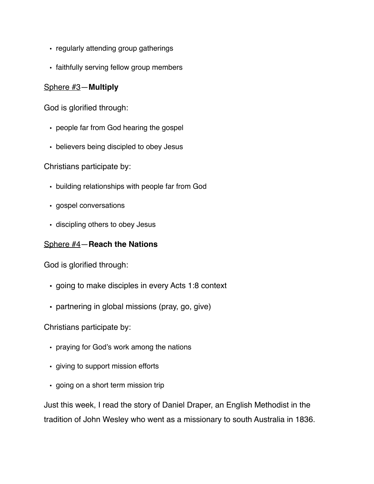- regularly attending group gatherings
- faithfully serving fellow group members

### Sphere #3—**Multiply**

God is glorified through:

- people far from God hearing the gospel
- believers being discipled to obey Jesus

Christians participate by:

- building relationships with people far from God
- gospel conversations
- discipling others to obey Jesus

### Sphere #4—**Reach the Nations**

God is glorified through:

- going to make disciples in every Acts 1:8 context
- partnering in global missions (pray, go, give)

Christians participate by:

- praying for God's work among the nations
- giving to support mission efforts
- going on a short term mission trip

Just this week, I read the story of Daniel Draper, an English Methodist in the tradition of John Wesley who went as a missionary to south Australia in 1836.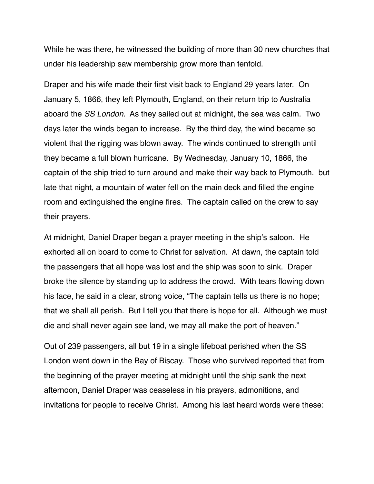While he was there, he witnessed the building of more than 30 new churches that under his leadership saw membership grow more than tenfold.

Draper and his wife made their first visit back to England 29 years later. On January 5, 1866, they left Plymouth, England, on their return trip to Australia aboard the *SS London*. As they sailed out at midnight, the sea was calm. Two days later the winds began to increase. By the third day, the wind became so violent that the rigging was blown away. The winds continued to strength until they became a full blown hurricane. By Wednesday, January 10, 1866, the captain of the ship tried to turn around and make their way back to Plymouth. but late that night, a mountain of water fell on the main deck and filled the engine room and extinguished the engine fires. The captain called on the crew to say their prayers.

At midnight, Daniel Draper began a prayer meeting in the ship's saloon. He exhorted all on board to come to Christ for salvation. At dawn, the captain told the passengers that all hope was lost and the ship was soon to sink. Draper broke the silence by standing up to address the crowd. With tears flowing down his face, he said in a clear, strong voice, "The captain tells us there is no hope; that we shall all perish. But I tell you that there is hope for all. Although we must die and shall never again see land, we may all make the port of heaven."

Out of 239 passengers, all but 19 in a single lifeboat perished when the SS London went down in the Bay of Biscay. Those who survived reported that from the beginning of the prayer meeting at midnight until the ship sank the next afternoon, Daniel Draper was ceaseless in his prayers, admonitions, and invitations for people to receive Christ. Among his last heard words were these: